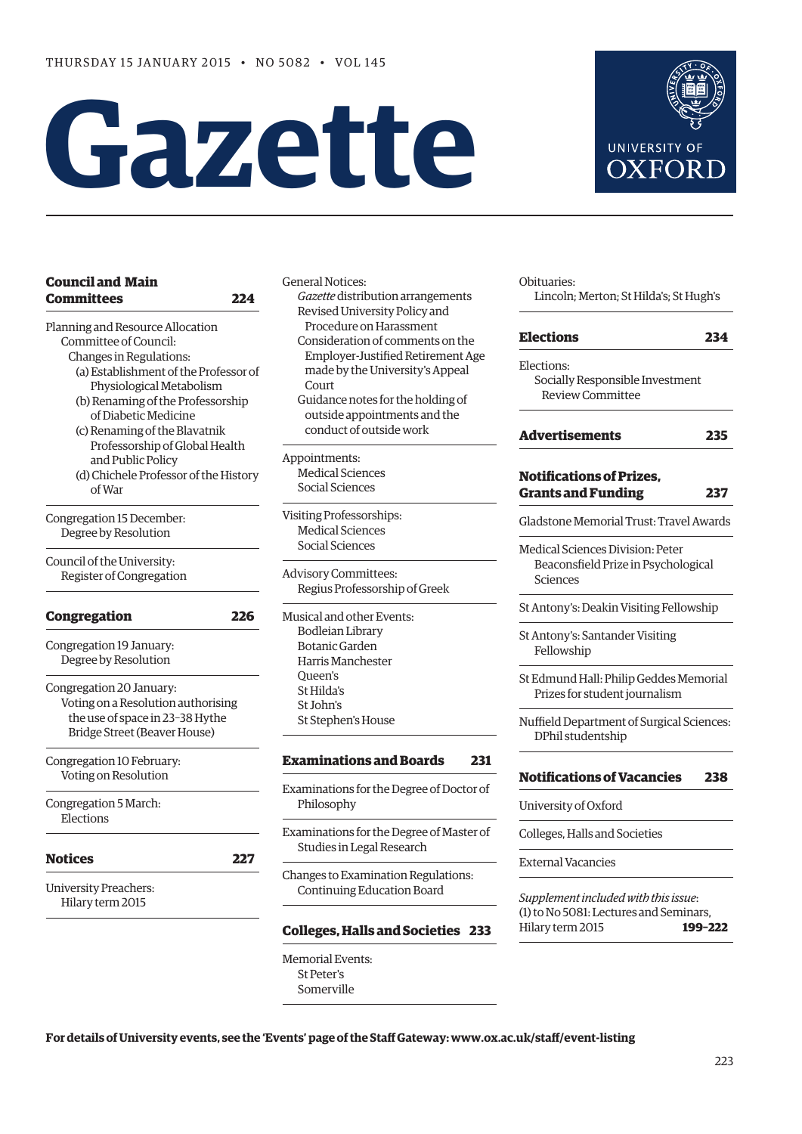# **Gazette**



General Notices: *Gazette* distribution arrangements Revised University Policy and Procedure on Harassment Consideration of comments on the Employer-Justified Retirement Age made by the University's Appeal **Court** Guidance notes for the holding of outside appointments and the conduct of outside work

Appointments: Medical Sciences Social Sciences

Visiting Professorships: Medical Sciences Social Sciences

Advisory Committees: Regius Professorship of Greek

Musical and other Events: Bodleian Library Botanic Garden Harris Manchester Queen's St Hilda's St John's St Stephen's House

# **[Examinations and Boards](#page-8-0) 231**

Examinations for the Degree of Doctor of Philosophy

Examinations for the Degree of Master of Studies in Legal Research

Changes to Examination Regulations: Continuing Education Board

# **[Colleges, Halls and Societies](#page-10-0) 233**

Memorial Events: St Peter's Somerville

Obituaries: Lincoln; Merton; St Hilda's; St Hugh's

**UNIVERSITY OF OXFOR** 

| <b>Elections</b>                                                                    | 234 |
|-------------------------------------------------------------------------------------|-----|
| Elections:<br>Socially Responsible Investment<br><b>Review Committee</b>            |     |
| <b>Advertisements</b>                                                               | 235 |
| <b>Notifications of Prizes.</b><br><b>Grants and Funding</b>                        | 237 |
| Gladstone Memorial Trust: Travel Awards                                             |     |
| Medical Sciences Division: Peter<br>Beaconsfield Prize in Psychological<br>Sciences |     |
| St Antony's: Deakin Visiting Fellowship                                             |     |
| St Antony's: Santander Visiting<br>Fellowship                                       |     |
| St Edmund Hall: Philip Geddes Memorial<br>Prizes for student journalism             |     |
| Nuffield Department of Surgical Sciences:<br>DPhil studentship                      |     |
| <b>Notifications of Vacancies</b>                                                   | 238 |
| University of Oxford                                                                |     |
| Colleges, Halls and Societies                                                       |     |
| <b>External Vacancies</b>                                                           |     |
| Supplement included with this issue:                                                |     |

(1) to No 5081: Lectures and Seminars, Hilary term 2015 **199–222**

**For details of University events, see the 'Events' page of the Staff Gateway: www.ox.ac.uk/staff/event-listing**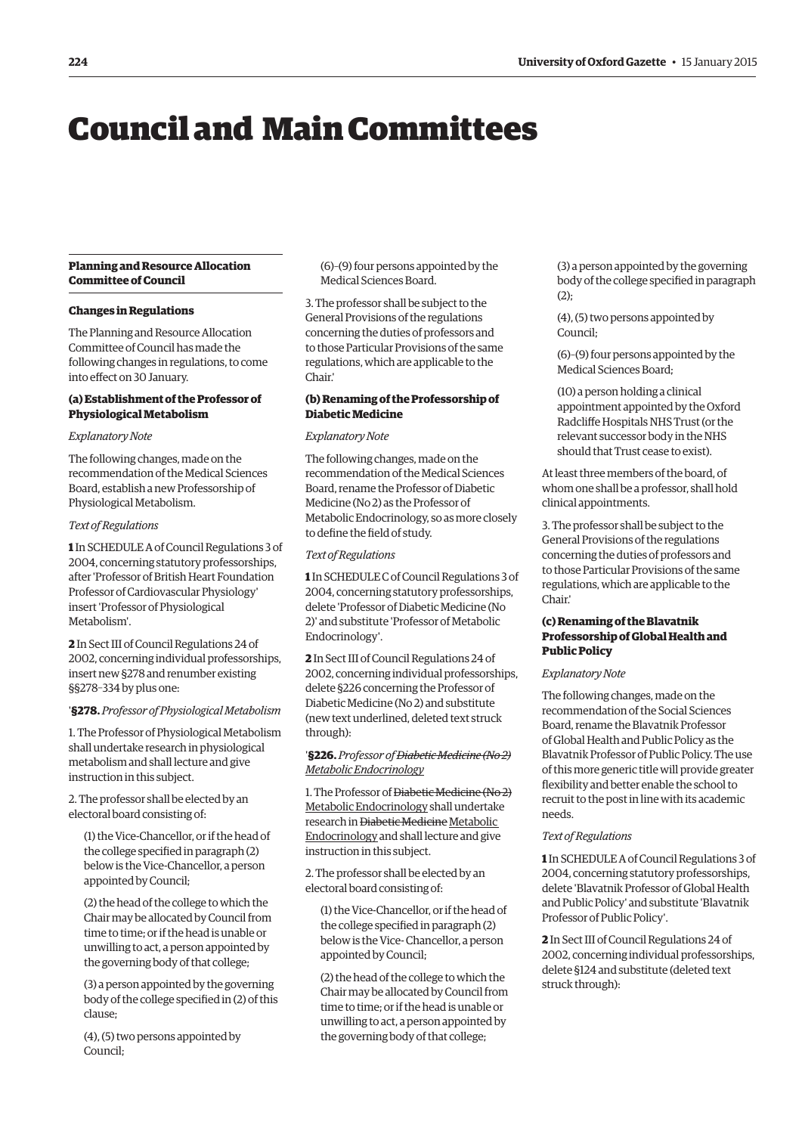# <span id="page-1-0"></span>Council and Main Committees

# **Planning and Resource Allocation Committee of Council**

#### **Changes in Regulations**

The Planning and Resource Allocation Committee of Council has made the following changes in regulations, to come into effect on 30 January.

#### **(a) Establishment of the Professor of Physiological Metabolism**

#### *Explanatory Note*

The following changes, made on the recommendation of the Medical Sciences Board, establish a new Professorship of Physiological Metabolism.

# *Text of Regulations*

**1** In SCHEDULE A of Council Regulations 3 of 2004, concerning statutory professorships, after 'Professor of British Heart Foundation Professor of Cardiovascular Physiology' insert 'Professor of Physiological Metabolism'.

**2** In Sect III of Council Regulations 24 of 2002, concerning individual professorships, insert new §278 and renumber existing §§278–334 by plus one:

#### '**§278.** *Professor of Physiological Metabolism*

1. The Professor of Physiological Metabolism shall undertake research in physiological metabolism and shall lecture and give instruction in this subject.

2. The professor shall be elected by an electoral board consisting of:

(1) the Vice-Chancellor, or if the head of the college specified in paragraph (2) below is the Vice-Chancellor, a person appointed by Council;

(2) the head of the college to which the Chair may be allocated by Council from time to time; or if the head is unable or unwilling to act, a person appointed by the governing body of that college;

(3) a person appointed by the governing body of the college specified in (2) of this clause;

(4), (5) two persons appointed by Council;

(6)–(9) four persons appointed by the Medical Sciences Board.

3. The professor shall be subject to the General Provisions of the regulations concerning the duties of professors and to those Particular Provisions of the same regulations, which are applicable to the Chair.'

#### **(b) Renaming of the Professorship of Diabetic Medicine**

#### *Explanatory Note*

The following changes, made on the recommendation of the Medical Sciences Board, rename the Professor of Diabetic Medicine (No 2) as the Professor of Metabolic Endocrinology, so as more closely to define the field of study.

#### *Text of Regulations*

**1** In SCHEDULE C of Council Regulations 3 of 2004, concerning statutory professorships, delete 'Professor of Diabetic Medicine (No 2)' and substitute 'Professor of Metabolic Endocrinology'.

**2** In Sect III of Council Regulations 24 of 2002, concerning individual professorships, delete §226 concerning the Professor of Diabetic Medicine (No 2) and substitute (new text underlined, deleted text struck through):

#### '**§226.** *Professor of Diabetic Medicine (No 2) Metabolic Endocrinology*

1. The Professor of Diabetic Medicine (No 2) Metabolic Endocrinology shall undertake research in Diabetic Medicine Metabolic Endocrinology and shall lecture and give instruction in this subject.

2. The professor shall be elected by an electoral board consisting of:

(1) the Vice-Chancellor, or if the head of the college specified in paragraph (2) below is the Vice- Chancellor, a person appointed by Council;

(2) the head of the college to which the Chair may be allocated by Council from time to time; or if the head is unable or unwilling to act, a person appointed by the governing body of that college;

(3) a person appointed by the governing body of the college specified in paragraph  $(2)$ ;

(4), (5) two persons appointed by Council;

(6)–(9) four persons appointed by the Medical Sciences Board;

(10) a person holding a clinical appointment appointed by the Oxford Radcliffe Hospitals NHS Trust (or the relevant successor body in the NHS should that Trust cease to exist).

At least three members of the board, of whom one shall be a professor, shall hold clinical appointments.

3. The professor shall be subject to the General Provisions of the regulations concerning the duties of professors and to those Particular Provisions of the same regulations, which are applicable to the Chair.'

# **(c) Renaming of the Blavatnik Professorship of Global Health and Public Policy**

#### *Explanatory Note*

The following changes, made on the recommendation of the Social Sciences Board, rename the Blavatnik Professor of Global Health and Public Policy as the Blavatnik Professor of Public Policy. The use of this more generic title will provide greater flexibility and better enable the school to recruit to the post in line with its academic needs.

#### *Text of Regulations*

**1** In SCHEDULE A of Council Regulations 3 of 2004, concerning statutory professorships, delete 'Blavatnik Professor of Global Health and Public Policy' and substitute 'Blavatnik Professor of Public Policy'.

**2** In Sect III of Council Regulations 24 of 2002, concerning individual professorships, delete §124 and substitute (deleted text struck through):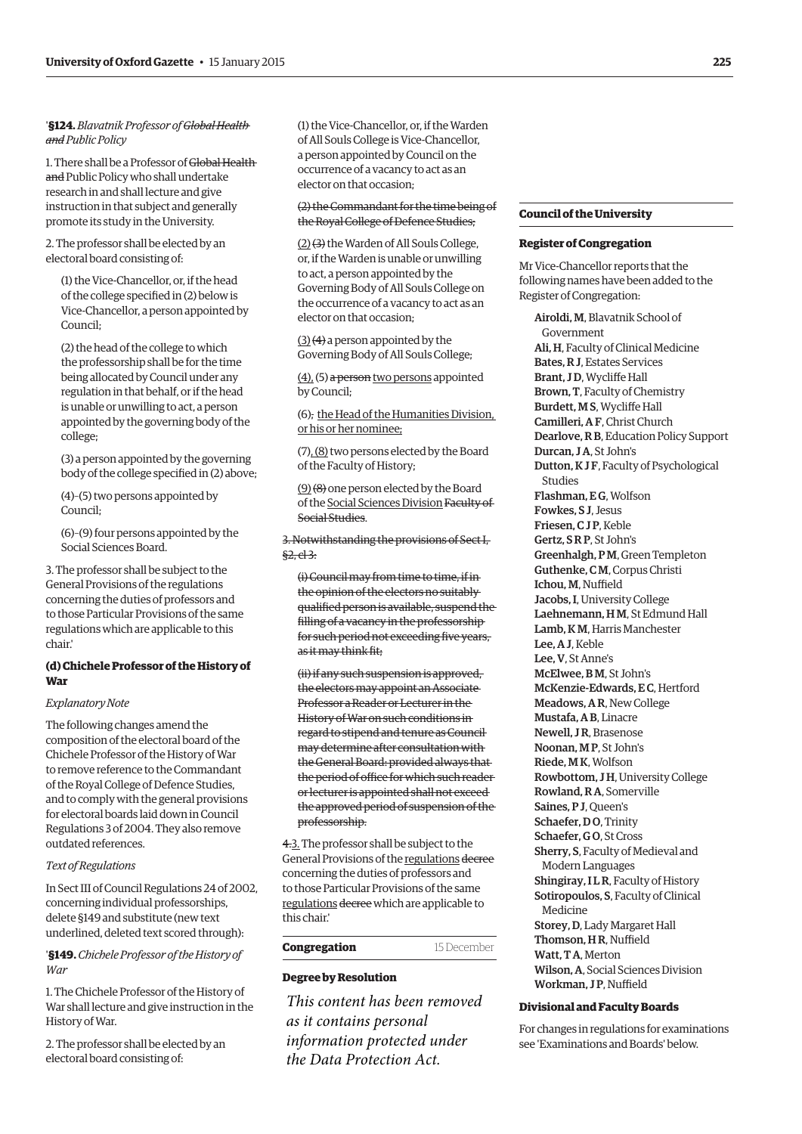## '**§124.** *Blavatnik Professor of Global Health and Public Policy*

1. There shall be a Professor of Global Health and Public Policy who shall undertake research in and shall lecture and give instruction in that subject and generally promote its study in the University.

2. The professor shall be elected by an electoral board consisting of:

(1) the Vice-Chancellor, or, if the head of the college specified in (2) below is Vice-Chancellor, a person appointed by Council;

(2) the head of the college to which the professorship shall be for the time being allocated by Council under any regulation in that behalf, or if the head is unable or unwilling to act, a person appointed by the governing body of the college;

(3) a person appointed by the governing body of the college specified in (2) above;

(4)–(5) two persons appointed by Council;

(6)–(9) four persons appointed by the Social Sciences Board.

3. The professor shall be subject to the General Provisions of the regulations concerning the duties of professors and to those Particular Provisions of the same regulations which are applicable to this chair.'

# **(d) Chichele Professor of the History of War**

#### *Explanatory Note*

The following changes amend the composition of the electoral board of the Chichele Professor of the History of War to remove reference to the Commandant of the Royal College of Defence Studies, and to comply with the general provisions for electoral boards laid down in Council Regulations 3 of 2004. They also remove outdated references.

#### *Text of Regulations*

In Sect III of Council Regulations 24 of 2002, concerning individual professorships, delete §149 and substitute (new text underlined, deleted text scored through):

'**§149.** *Chichele Professor of the History of War*

1. The Chichele Professor of the History of War shall lecture and give instruction in the History of War.

2. The professor shall be elected by an electoral board consisting of:

(1) the Vice-Chancellor, or, if the Warden of All Souls College is Vice-Chancellor, a person appointed by Council on the occurrence of a vacancy to act as an elector on that occasion;

#### (2) the Commandant for the time being of the Royal College of Defence Studies;

(2) (3) the Warden of All Souls College, or, if the Warden is unable or unwilling to act, a person appointed by the Governing Body of All Souls College on the occurrence of a vacancy to act as an elector on that occasion;

(3) (4) a person appointed by the Governing Body of All Souls College;

(4), (5) a person two persons appointed by Council;

(6), the Head of the Humanities Division, or his or her nominee;

(7), (8) two persons elected by the Board of the Faculty of History;

(9) (8) one person elected by the Board of the Social Sciences Division Faculty of Social Studies.

3. Notwithstanding the provisions of Sect I, §2, cl 3:

(i) Council may from time to time, if in the opinion of the electors no suitably qualified person is available, suspend the filling of a vacancy in the professorship for such period not exceeding five years, as it may think fit;

(ii) if any such suspension is approved, the electors may appoint an Associate Professor a Reader or Lecturer in the History of War on such conditions in regard to stipend and tenure as Council may determine after consultation with the General Board: provided always that the period of office for which such reader or lecturer is appointed shall not exceed the approved period of suspension of the professorship.

4.3. The professor shall be subject to the General Provisions of the regulations decree concerning the duties of professors and to those Particular Provisions of the same regulations decree which are applicable to this chair.'

#### **Congregation** 15 December

# **Degree by Resolution**

*This content has been removed as it contains personal information protected under the Data Protection Act.*

#### **Council of the University**

#### **Register of Congregation**

Mr Vice-Chancellor reports that the following names have been added to the Register of Congregation:

Airoldi, M, Blavatnik School of Government Ali, H, Faculty of Clinical Medicine Bates, R J, Estates Services Brant, J D, Wycliffe Hall Brown, T, Faculty of Chemistry Burdett, M S, Wycliffe Hall Camilleri, A F, Christ Church Dearlove, R B, Education Policy Support Durcan, J A, St John's Dutton, K J F, Faculty of Psychological Studies Flashman, E G, Wolfson Fowkes, S J, Jesus Friesen, C J P, Keble Gertz, S R P, St John's Greenhalgh, P M, Green Templeton Guthenke, C M, Corpus Christi Ichou, M, Nuffield Jacobs, I, University College Laehnemann, H M, St Edmund Hall Lamb, K M, Harris Manchester Lee, A J, Keble Lee, V, St Anne's McElwee, B M, St John's McKenzie-Edwards, E C, Hertford Meadows, A R, New College Mustafa, A B, Linacre Newell, J R, Brasenose Noonan, M P, St John's Riede, M K, Wolfson Rowbottom, J H, University College Rowland, R A, Somerville Saines, P J, Queen's Schaefer, DO. Trinity Schaefer, G O, St Cross Sherry, S, Faculty of Medieval and Modern Languages Shingiray, I L R, Faculty of History Sotiropoulos, S, Faculty of Clinical Medicine Storey, D, Lady Margaret Hall Thomson, H R, Nuffield Watt, TA, Merton Wilson, A, Social Sciences Division Workman, J P, Nuffield

#### **Divisional and Faculty Boards**

For changes in regulations for examinations see '[Examinations and Boards](#page-10-0)' below.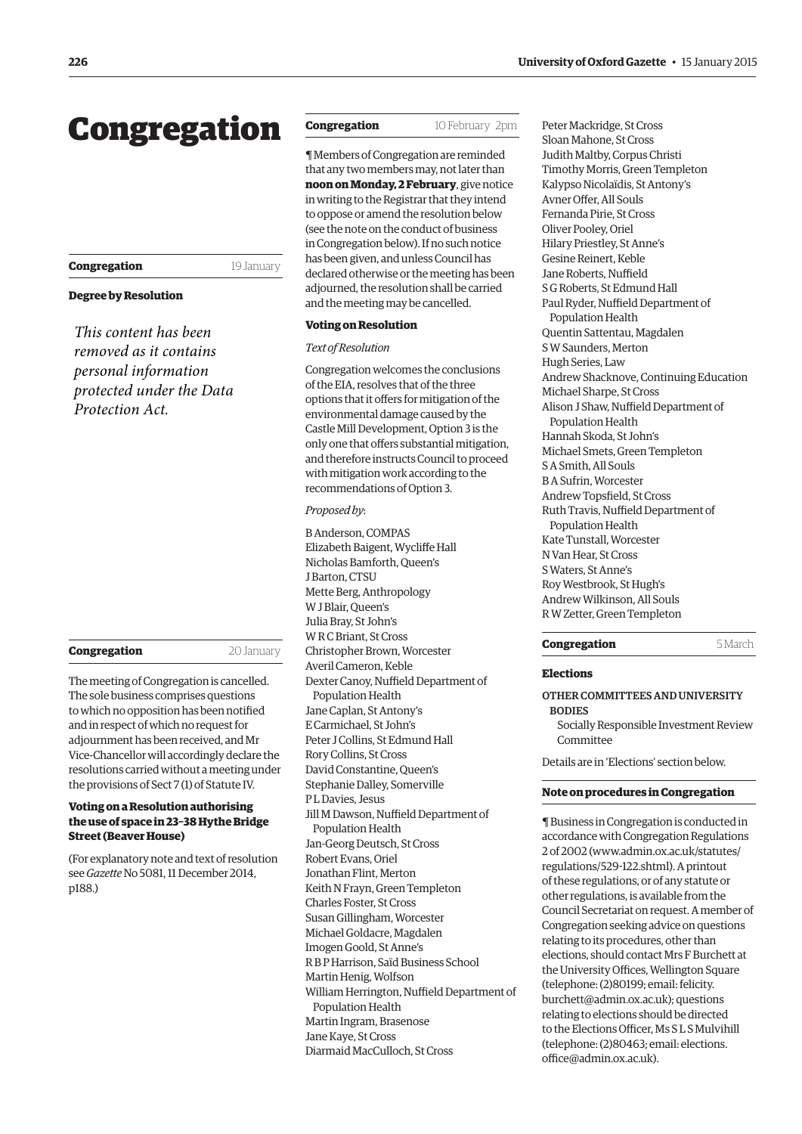# <span id="page-3-0"></span>Congregation

# **Congregation** 19 January

#### **Degree by Resolution**

*This content has been removed as it contains personal information protected under the Data Protection Act.*

#### **Congregation** 20 January

The meeting of Congregation is cancelled. The sole business comprises questions to which no opposition has been notified and in respect of which no request for adjournment has been received, and Mr Vice-Chancellor will accordingly declare the resolutions carried without a meeting under the provisions of Sect 7 (1) of Statute IV.

## **Voting on a Resolution authorising the use of space in 23–38 Hythe Bridge Street (Beaver House)**

(For explanatory note and text of resolution see *Gazette* [No 5081, 11 December 2014,](http://www.ox.ac.uk/gazette/2014-2015/11december2014-no5081/congregation/#192324) p188.)

# **Congregation** 10 February 2pm

¶ Members of Congregation are reminded that any two members may, not later than **noon on Monday, 2 February**, give notice in writing to the Registrar that they intend to oppose or amend the resolution below (see the note on the conduct of business in Congregation below). If no such notice has been given, and unless Council has declared otherwise or the meeting has been adjourned, the resolution shall be carried and the meeting may be cancelled.

# **Voting on Resolution**

## *Text of Resolution*

Congregation welcomes the conclusions of the EIA, resolves that of the three options that it offers for mitigation of the environmental damage caused by the Castle Mill Development, Option 3 is the only one that offers substantial mitigation, and therefore instructs Council to proceed with mitigation work according to the recommendations of Option 3.

## *Proposed by*:

B Anderson, COMPAS Elizabeth Baigent, Wycliffe Hall Nicholas Bamforth, Queen's J Barton, CTSU Mette Berg, Anthropology W J Blair, Queen's Julia Bray, St John's W R C Briant, St Cross Christopher Brown, Worcester Averil Cameron, Keble Dexter Canoy, Nuffield Department of Population Health Jane Caplan, St Antony's E Carmichael, St John's Peter J Collins, St Edmund Hall Rory Collins, St Cross David Constantine, Queen's Stephanie Dalley, Somerville P LDavies, Jesus Jill M Dawson, Nuffield Department of Population Health Jan-Georg Deutsch, St Cross Robert Evans, Oriel Jonathan Flint, Merton Keith N Frayn, Green Templeton Charles Foster, St Cross Susan Gillingham, Worcester Michael Goldacre, Magdalen Imogen Goold, St Anne's R B P Harrison, Saïd Business School Martin Henig, Wolfson William Herrington, Nuffield Department of Population Health Martin Ingram, Brasenose Jane Kaye, St Cross Diarmaid MacCulloch, St Cross

Peter Mackridge, St Cross Sloan Mahone, St Cross Judith Maltby, Corpus Christi Timothy Morris, Green Templeton Kalypso Nicolaïdis, St Antony's Avner Offer, All Souls Fernanda Pirie, St Cross Oliver Pooley, Oriel Hilary Priestley, St Anne's Gesine Reinert, Keble Jane Roberts, Nuffield S G Roberts, St Edmund Hall Paul Ryder, Nuffield Department of Population Health Quentin Sattentau, Magdalen S W Saunders, Merton Hugh Series, Law Andrew Shacknove, Continuing Education Michael Sharpe, St Cross Alison J Shaw, Nuffield Department of Population Health Hannah Skoda, St John's Michael Smets, Green Templeton S A Smith, All Souls B A Sufrin, Worcester Andrew Topsfield, St Cross Ruth Travis, Nuffield Department of Population Health Kate Tunstall, Worcester N Van Hear, St Cross S Waters, St Anne's Roy Westbrook, St Hugh's Andrew Wilkinson, All Souls R W Zetter, Green Templeton

#### **Congregation** 5 March

#### **Elections**

Other Committees and University **BODIES** 

Socially Responsible Investment Review Committee

Details are in '[Elections'](#page-11-0) section below.

#### **Note on procedures in Congregation**

¶ Business in Congregation is conducted in accordance with Congregation Regulations [2 of 2002 \(www.admin.ox.ac.uk/statutes/](www.admin.ox.ac.uk/statutes/regulations/529-122.shtml) regulations/529-122.shtml). A printout of these regulations, or of any statute or other regulations, is available from the Council Secretariat on request. A member of Congregation seeking advice on questions relating to its procedures, other than elections, should contact Mrs F Burchett at the University Offices, Wellington Square (telephone: (2)80199; email: felicity. [burchett@admin.ox.ac.uk\); questions](mailto:felicity.burchett@admin.ox.ac.uk)  relating to elections should be directed to the Elections Officer, Ms S L S Mulvihill [\(telephone: \(2\)80463; email: elections.](mailto:elections.office@admin.ox.ac.uk) office@admin.ox.ac.uk).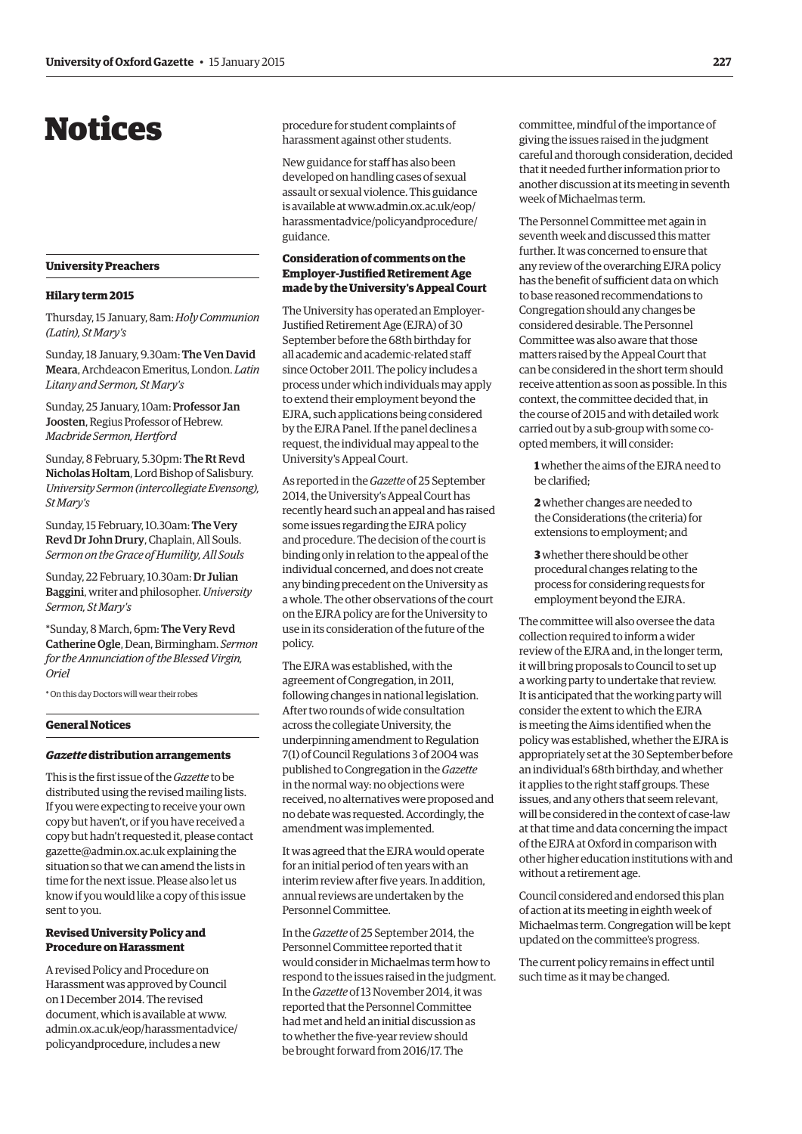# <span id="page-4-0"></span>Notices

# **University Preachers**

#### **Hilary term 2015**

Thursday, 15 January, 8am: *Holy Communion (Latin), St Mary's*

Sunday, 18 January, 9.30am: The Ven David Meara, Archdeacon Emeritus, London. *Latin Litany and Sermon, St Mary's*

Sunday, 25 January, 10am: Professor Jan Joosten, Regius Professor of Hebrew. *Macbride Sermon, Hertford*

Sunday, 8 February, 5.30pm: The Rt Revd Nicholas Holtam, Lord Bishop of Salisbury. *University Sermon (intercollegiate Evensong), St Mary's*

Sunday, 15 February, 10.30am: The Very Revd Dr John Drury, Chaplain, All Souls. *Sermon on the Grace of Humility, All Souls*

Sunday, 22 February, 10.30am: Dr Julian Baggini, writer and philosopher. *University Sermon, St Mary's*

\*Sunday, 8 March, 6pm: The Very Revd Catherine Ogle, Dean, Birmingham. *Sermon for the Annunciation of the Blessed Virgin, Oriel*

\* On this day Doctors will wear their robes

#### **General Notices**

#### *Gazette* **distribution arrangements**

This is the first issue of the *Gazette* to be distributed using the revised mailing lists. If you were expecting to receive your own copy but haven't, or if you have received a copy but hadn't requested it, please contact gazette@admin.ox.ac.uk explaining the situation so that we can amend the lists in time for the next issue. Please also let us know if you would like a copy of this issue sent to you.

#### **Revised University Policy and Procedure on Harassment**

A revised Policy and Procedure on Harassment was approved by Council on 1 December 2014. The revised document, which is available at www. [admin.ox.ac.uk/eop/harassmentadvice/](www.admin.ox.ac.uk/eop/harassmentadvice/policyandprocedure) policyandprocedure, includes a new

procedure for student complaints of harassment against other students.

New guidance for staff has also been developed on handling cases of sexual assault or sexual violence. This guidance is available at www.admin.ox.ac.uk/eop/ [harassmentadvice/policyandprocedure/](www.admin.ox.ac.uk/eop/harassmentadvice/policyandprocedure/guidance) guidance.

# **Consideration of comments on the Employer-Justified Retirement Age made by the University's Appeal Court**

The University has operated an Employer-Justified Retirement Age (EJRA) of 30 September before the 68th birthday for all academic and academic-related staff since October 2011. The policy includes a process under which individuals may apply to extend their employment beyond the EJRA, such applications being considered by the EJRA Panel. If the panel declines a request, the individual may appeal to the University's Appeal Court.

As reported in the *Gazette* of 25 September 2014, the University's Appeal Court has recently heard such an appeal and has raised some issues regarding the EJRA policy and procedure. The decision of the court is binding only in relation to the appeal of the individual concerned, and does not create any binding precedent on the University as a whole. The other observations of the court on the EJRA policy are for the University to use in its consideration of the future of the policy.

The EJRA was established, with the agreement of Congregation, in 2011, following changes in national legislation. After two rounds of wide consultation across the collegiate University, the underpinning amendment to Regulation 7(1) of Council Regulations 3 of 2004 was published to Congregation in the *Gazette* in the normal way: no objections were received, no alternatives were proposed and no debate was requested. Accordingly, the amendment was implemented.

It was agreed that the EJRA would operate for an initial period of ten years with an interim review after five years. In addition, annual reviews are undertaken by the Personnel Committee.

In the *Gazette* of 25 September 2014, the Personnel Committee reported that it would consider in Michaelmas term how to respond to the issues raised in the judgment. In the *Gazette* of 13 November 2014, it was reported that the Personnel Committee had met and held an initial discussion as to whether the five-year review should be brought forward from 2016/17. The

committee, mindful of the importance of giving the issues raised in the judgment careful and thorough consideration, decided that it needed further information prior to another discussion at its meeting in seventh week of Michaelmas term.

The Personnel Committee met again in seventh week and discussed this matter further. It was concerned to ensure that any review of the overarching EJRA policy has the benefit of sufficient data on which to base reasoned recommendations to Congregation should any changes be considered desirable. The Personnel Committee was also aware that those matters raised by the Appeal Court that can be considered in the short term should receive attention as soon as possible. In this context, the committee decided that, in the course of 2015 and with detailed work carried out by a sub-group with some coopted members, it will consider:

**1** whether the aims of the EJRA need to be clarified;

**2** whether changes are needed to the Considerations (the criteria) for extensions to employment; and

**3** whether there should be other procedural changes relating to the process for considering requests for employment beyond the EJRA.

The committee will also oversee the data collection required to inform a wider review of the EJRA and, in the longer term, it will bring proposals to Council to set up a working party to undertake that review. It is anticipated that the working party will consider the extent to which the EJRA is meeting the Aims identified when the policy was established, whether the EJRA is appropriately set at the 30 September before an individual's 68th birthday, and whether it applies to the right staff groups. These issues, and any others that seem relevant, will be considered in the context of case-law at that time and data concerning the impact of the EJRA at Oxford in comparison with other higher education institutions with and without a retirement age.

Council considered and endorsed this plan of action at its meeting in eighth week of Michaelmas term. Congregation will be kept updated on the committee's progress.

The current policy remains in effect until such time as it may be changed.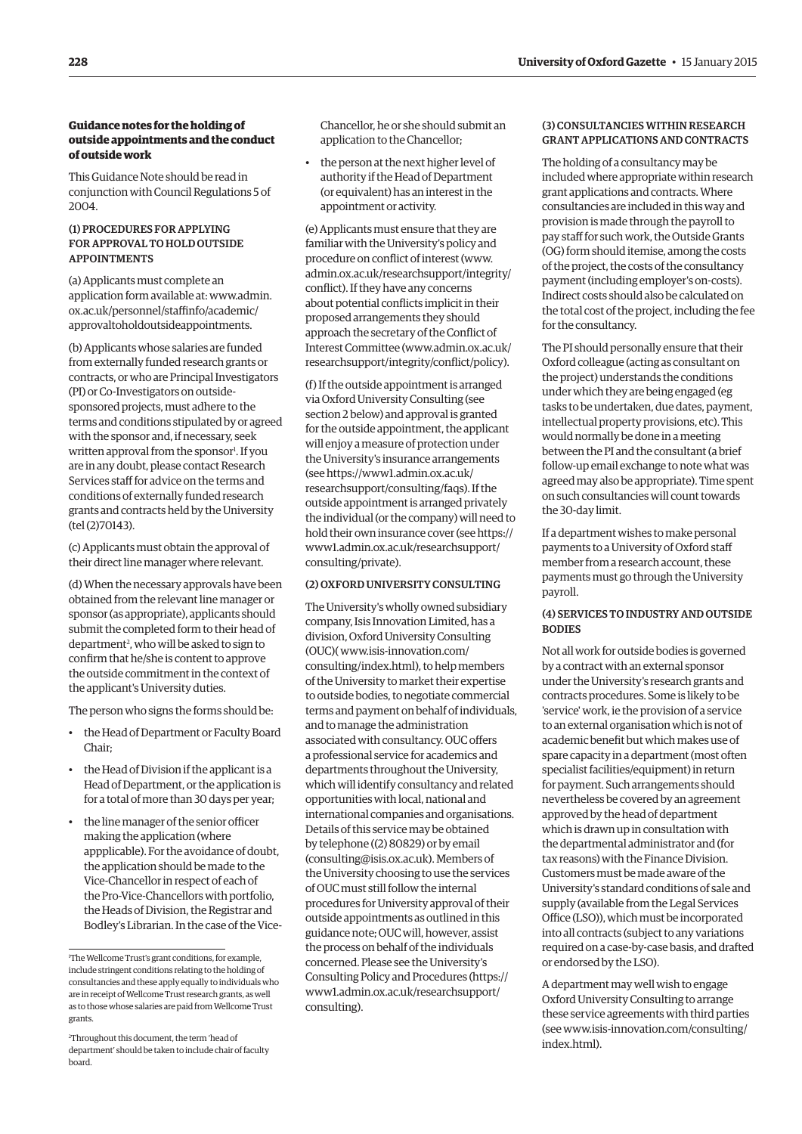# **Guidance notes for the holding of outside appointments and the conduct of outside work**

This Guidance Note should be read in conjunction with Council Regulations 5 of 2004.

# (1) Procedures forapplying FOR APPROVAL TO HOLD OUTSIDE **APPOINTMENTS**

(a) Applicants must complete an [application form available at: www.admin.](www.admin.ox.ac.uk/personnel/staffinfo/academic/approvaltoholdoutsideappointments) ox.ac.uk/personnel/staffinfo/academic/ approvaltoholdoutsideappointments.

(b) Applicants whose salaries are funded from externally funded research grants or contracts, or who are Principal Investigators (PI) or Co-Investigators on outsidesponsored projects, must adhere to the terms and conditions stipulated by or agreed with the sponsor and, if necessary, seek written approval from the sponsor<sup>1</sup>. If you are in any doubt, please contact Research Services staff for advice on the terms and conditions of externally funded research grants and contracts held by the University (tel (2)70143).

(c) Applicants must obtain the approval of their direct line manager where relevant.

(d) When the necessary approvals have been obtained from the relevant line manager or sponsor (as appropriate), applicants should submit the completed form to their head of department<sup>2</sup>, who will be asked to sign to confirm that he/she is content to approve the outside commitment in the context of the applicant's University duties.

The person who signs the forms should be:

- the Head of Department or Faculty Board Chair;
- the Head of Division if the applicant is a Head of Department, or the application is for a total of more than 30 days per year;
- the line manager of the senior officer making the application (where appplicable). For the avoidance of doubt, the application should be made to the Vice-Chancellor in respect of each of the Pro-Vice-Chancellors with portfolio, the Heads of Division, the Registrar and Bodley's Librarian. In the case of the Vice-

Chancellor, he or she should submit an application to the Chancellor;

• the person at the next higher level of authority if the Head of Department (or equivalent) has an interest in the appointment or activity.

(e) Applicants must ensure that they are familiar with the University's policy and procedure on conflict of interest (www. [admin.ox.ac.uk/researchsupport/integrity/](www.admin.ox.ac.uk/researchsupport/integrity/conflict) conflict). If they have any concerns about potential conflicts implicit in their proposed arrangements they should approach the secretary of the Conflict of [Interest Committee \(www.admin.ox.ac.uk/](www.admin.ox.ac.uk/researchsupport/integrity/conflict/policy) researchsupport/integrity/conflict/policy).

(f) If the outside appointment is arranged via Oxford University Consulting (see section 2 below) and approval is granted for the outside appointment, the applicant will enjoy a measure of protection under the University's insurance arrangements (see https://www1.admin.ox.ac.uk/ [researchsupport/consulting/faqs\). If the](https://www1.admin.ox.ac.uk/researchsupport/consulting/faqs)  outside appointment is arranged privately the individual (or the company) will need to [hold their own insurance cover \(see https://](https://www1.admin.ox.ac.uk/researchsupport/consulting/private) www1.admin.ox.ac.uk/researchsupport/ consulting/private).

# (2) Oxford University Consulting

The University's wholly owned subsidiary company, Isis Innovation Limited, has a division, Oxford University Consulting (OUC)( www.isis-innovation.com/ [consulting/index.html\), to help members](http://www.isis-innovation.com/consulting/index.html)  of the University to market their expertise to outside bodies, to negotiate commercial terms and payment on behalf of individuals, and to manage the administration associated with consultancy. OUC offers a professional service for academics and departments throughout the University, which will identify consultancy and related opportunities with local, national and international companies and organisations. Details of this service may be obtained by telephone ((2) 80829) or by email (consulting@isis.ox.ac.uk). Members of the University choosing to use the services of OUC must still follow the internal procedures for University approval of their outside appointments as outlined in this guidance note; OUC will, however, assist the process on behalf of the individuals concerned. Please see the University's [Consulting Policy and Procedures \(https://](https://www1.admin.ox.ac.uk/researchsupport/consulting) www1.admin.ox.ac.uk/researchsupport/ consulting).

# (3) Consultancies within research grantapplicationsandcontracts

The holding of a consultancy may be included where appropriate within research grant applications and contracts. Where consultancies are included in this way and provision is made through the payroll to pay staff for such work, the Outside Grants (OG) form should itemise, among the costs of the project, the costs of the consultancy payment (including employer's on-costs). Indirect costs should also be calculated on the total cost of the project, including the fee for the consultancy.

The PI should personally ensure that their Oxford colleague (acting as consultant on the project) understands the conditions under which they are being engaged (eg tasks to be undertaken, due dates, payment, intellectual property provisions, etc). This would normally be done in a meeting between the PI and the consultant (a brief follow-up email exchange to note what was agreed may also be appropriate). Time spent on such consultancies will count towards the 30-day limit.

If a department wishes to make personal payments to a University of Oxford staff member from a research account, these payments must go through the University payroll.

# (4) SERVICES TO INDUSTRY AND OUTSIDE **BODIES**

Not all work for outside bodies is governed by a contract with an external sponsor under the University's research grants and contracts procedures. Some is likely to be 'service' work, ie the provision of a service to an external organisation which is not of academic benefit but which makes use of spare capacity in a department (most often specialist facilities/equipment) in return for payment. Such arrangements should nevertheless be covered by an agreement approved by the head of department which is drawn up in consultation with the departmental administrator and (for tax reasons) with the Finance Division. Customers must be made aware of the University's standard conditions of sale and supply (available from the Legal Services Office (LSO)), which must be incorporated into all contracts (subject to any variations required on a case-by-case basis, and drafted or endorsed by the LSO).

A department may well wish to engage Oxford University Consulting to arrange these service agreements with third parties [\(see www.isis-innovation.com/consulting/](http://www.isis-innovation.com/consulting/index.html) index.html).

<sup>1</sup> The Wellcome Trust's grant conditions, for example, include stringent conditions relating to the holding of consultancies and these apply equally to individuals who are in receipt of Wellcome Trust research grants, as well as to those whose salaries are paid from Wellcome Trust grants.

<sup>2</sup> Throughout this document, the term 'head of department' should be taken to include chair of faculty board.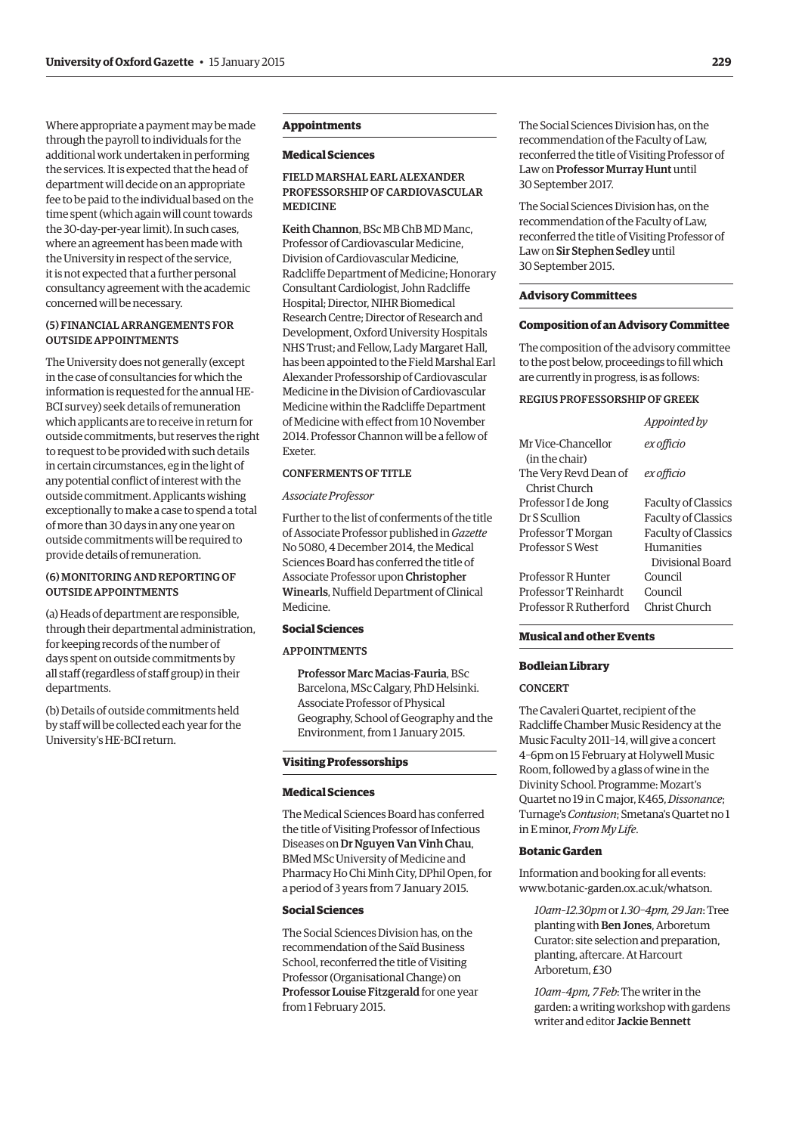Where appropriate a payment may be made through the payroll to individuals for the additional work undertaken in performing the services. It is expected that the head of department will decide on an appropriate fee to be paid to the individual based on the time spent (which again will count towards the 30-day-per-year limit). In such cases, where an agreement has been made with the University in respect of the service, it is not expected that a further personal consultancy agreement with the academic concerned will be necessary.

#### (5) Financialarrangements for outside appointments

The University does not generally (except in the case of consultancies for which the information is requested for the annual HE-BCI survey) seek details of remuneration which applicants are to receive in return for outside commitments, but reserves the right to request to be provided with such details in certain circumstances, eg in the light of any potential conflict of interest with the outside commitment. Applicants wishing exceptionally to make a case to spend a total of more than 30 days in any one year on outside commitments will be required to provide details of remuneration.

#### (6) Monitoringandreportingof outside appointments

(a) Heads of department are responsible, through their departmental administration, for keeping records of the number of days spent on outside commitments by all staff (regardless of staff group) in their departments.

(b) Details of outside commitments held by staff will be collected each year for the University's HE-BCI return.

# **Appointments**

#### **Medical Sciences**

# Field Marshal Earl Alexander PROFESSORSHIP OF CARDIOVASCULAR **MEDICINE**

Keith Channon, BSc MB ChB MD Manc, Professor of Cardiovascular Medicine, Division of Cardiovascular Medicine, Radcliffe Department of Medicine; Honorary Consultant Cardiologist, John Radcliffe Hospital; Director, NIHR Biomedical Research Centre; Director of Research and Development, Oxford University Hospitals NHS Trust; and Fellow, Lady Margaret Hall, has been appointed to the Field Marshal Earl Alexander Professorship of Cardiovascular Medicine in the Division of Cardiovascular Medicine within the Radcliffe Department of Medicine with effect from 10 November 2014. Professor Channon will be a fellow of Exeter.

#### CONFERMENTS OF TITLE

#### *Associate Professor*

Further to the list of conferments of the title of Associate Professor published in *Gazette* No 5080, 4 December 2014, the Medical Sciences Board has conferred the title of Associate Professor upon Christopher Winearls, Nuffield Department of Clinical Medicine.

# **Social Sciences**

## **APPOINTMENTS**

Professor Marc Macias-Fauria, BSc Barcelona, MSc Calgary, PhD Helsinki. Associate Professor of Physical Geography, School of Geography and the Environment, from 1 January 2015.

#### **Visiting Professorships**

#### **Medical Sciences**

The Medical Sciences Board has conferred the title of Visiting Professor of Infectious Diseases on Dr Nguyen Van Vinh Chau, BMed MSc University of Medicine and Pharmacy Ho Chi Minh City, DPhil Open, for a period of 3 years from 7 January 2015.

## **Social Sciences**

The Social Sciences Division has, on the recommendation of the Saïd Business School, reconferred the title of Visiting Professor (Organisational Change) on Professor Louise Fitzgerald for one year from 1 February 2015.

The Social Sciences Division has, on the recommendation of the Faculty of Law, reconferred the title of Visiting Professor of Law on Professor Murray Hunt until 30 September 2017.

The Social Sciences Division has, on the recommendation of the Faculty of Law, reconferred the title of Visiting Professor of Law on Sir Stephen Sedley until 30 September 2015.

#### **Advisory Committees**

#### **Composition of an Advisory Committee**

The composition of the advisory committee to the post below, proceedings to fill which are currently in progress, is as follows:

*Appointed by*

#### Regius Professorshipof Greek

|                         | Appointed by               |
|-------------------------|----------------------------|
| Mr Vice-Chancellor      | ex officio                 |
| (in the chair)          |                            |
| The Very Revd Dean of   | ex officio                 |
| Christ Church           |                            |
| Professor I de Jong     | <b>Faculty of Classics</b> |
| Dr S Scullion           | <b>Faculty of Classics</b> |
| Professor T Morgan      | <b>Faculty of Classics</b> |
| <b>Professor S West</b> | Humanities                 |
|                         | Divisional Board           |
| Professor R Hunter      | Council                    |
| Professor T Reinhardt   | Council                    |
| Professor R Rutherford  | Christ Church              |

#### **Musical and other Events**

#### **Bodleian Library**

#### **CONCERT**

The Cavaleri Quartet, recipient of the Radcliffe Chamber Music Residency at the Music Faculty 2011–14, will give a concert 4–6pm on 15 February at Holywell Music Room, followed by a glass of wine in the Divinity School. Programme: Mozart's Quartet no 19 in C major, K465, *Dissonance*; Turnage's *Contusion*; Smetana's Quartet no 1 in E minor, *From My Life*.

#### **Botanic Garden**

Information and booking for all events: www.botanic-garden.ox.ac.uk/whatson.

*10am–12.30pm* or *1.30–4pm, 29 Jan*: Tree planting with Ben Jones, Arboretum Curator: site selection and preparation, planting, aftercare. At Harcourt Arboretum, £30

*10am–4pm, 7 Feb*: The writer in the garden: a writing workshop with gardens writer and editor Jackie Bennett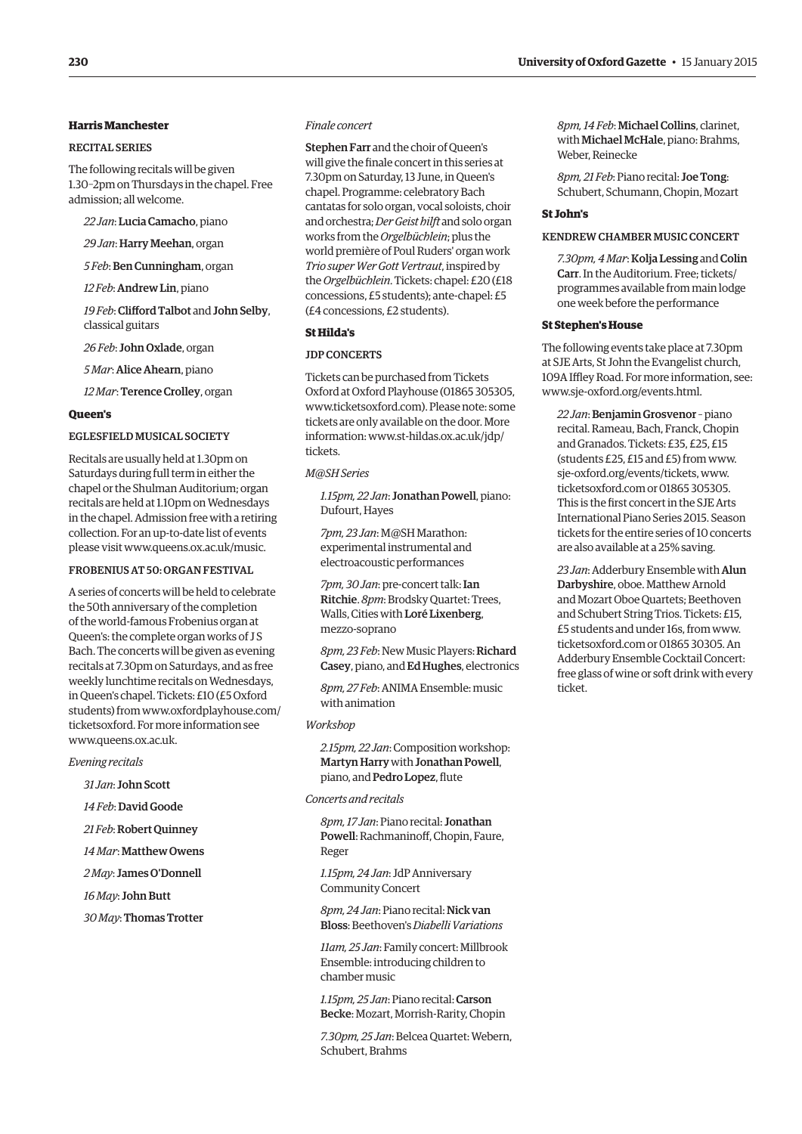# **Harris Manchester**

## Recital Series

The following recitals will be given 1.30–2pm on Thursdays in the chapel. Free admission; all welcome.

*22 Jan*:Lucia Camacho, piano

*29 Jan*: Harry Meehan, organ

*5 Feb*: Ben Cunningham, organ

*12 Feb*: Andrew Lin, piano

19 Feb: Clifford Talbot and John Selby, classical guitars

*26 Feb*: John Oxlade, organ

*5 Mar*: Alice Ahearn, piano

*12 Mar*: Terence Crolley, organ

#### **Queen's**

# Eglesfield Musical Society

Recitals are usually held at 1.30pm on Saturdays during full term in either the chapel or the Shulman Auditorium; organ recitals are held at 1.10pm on Wednesdays in the chapel. Admission free with a retiring collection. For an up-to-date list of events please visit www.queens.ox.ac.uk/music.

#### Frobeniusat 50: organ festival

A series of concerts will be held to celebrate the 50th anniversary of the completion of the world-famous Frobenius organ at Queen's: the complete organ works of J S Bach. The concerts will be given as evening recitals at 7.30pm on Saturdays, and as free weekly lunchtime recitals on Wednesdays, in Queen's chapel. Tickets: £10 (£5 Oxford [students\) from www.oxfordplayhouse.com/](www.oxfordplayhouse.com/ticketsoxford) ticketsoxford. For more information see www.queens.ox.ac.uk.

#### *Evening recitals*

*31 Jan*: John Scott

*14 Feb*: David Goode

*21 Feb*: Robert Quinney

*14 Mar*: Matthew Owens

*2 May*: James O'Donnell

*16 May*: John Butt

*30 May*: Thomas Trotter

#### *Finale concert*

Stephen Farr and the choir of Queen's will give the finale concert in this series at 7.30pm on Saturday, 13 June, in Queen's chapel. Programme: celebratory Bach cantatas for solo organ, vocal soloists, choir and orchestra; *Der Geist hilft* and solo organ works from the *Orgelbüchlein*; plus the world première of Poul Ruders' organ work *Trio super Wer Gott Vertraut*, inspired by the *Orgelbüchlein*. Tickets: chapel: £20 (£18 concessions, £5 students); ante-chapel: £5 (£4 concessions, £2 students).

# **St Hilda's**

#### **JDP CONCERTS**

Tickets can be purchased from Tickets Oxford at Oxford Playhouse (01865 305305, www.ticketsoxford.com). Please note: some tickets are only available on the door. More [information: www.st-hildas.ox.ac.uk/jdp/](http://www.st-hildas.ox.ac.uk/jdp/tickets) tickets.

### *M@SH Series*

*1.15pm, 22 Jan*: Jonathan Powell, piano: Dufourt, Hayes

*7pm, 23 Jan*: M@SH Marathon: experimental instrumental and electroacoustic performances

*7pm, 30 Jan*: pre-concert talk: Ian Ritchie. *8pm*: Brodsky Quartet: Trees, Walls, Cities with Loré Lixenberg, mezzo-soprano

8pm, 23 Feb: New Music Players: Richard Casey, piano, and Ed Hughes, electronics

*8pm, 27 Feb*: ANIMA Ensemble: music with animation

#### *Workshop*

*2.15pm, 22 Jan*: Composition workshop: Martyn Harry with Jonathan Powell, piano, and Pedro Lopez, flute

#### *Concerts and recitals*

*8pm, 17 Jan*: Piano recital: Jonathan Powell: Rachmaninoff, Chopin, Faure, Reger

*1.15pm, 24 Jan*: JdP Anniversary Community Concert

*8pm, 24 Jan*: Piano recital: Nick van Bloss: Beethoven's *Diabelli Variations*

*11am, 25 Jan*: Family concert: Millbrook Ensemble: introducing children to chamber music

*1.15pm, 25 Jan*: Piano recital: Carson Becke: Mozart, Morrish-Rarity, Chopin

*7.30pm, 25 Jan*: Belcea Quartet: Webern, Schubert, Brahms

*8pm, 14 Feb*: Michael Collins, clarinet, with Michael McHale, piano: Brahms, Weber, Reinecke

*8pm, 21 Feb*: Piano recital: Joe Tong: Schubert, Schumann, Chopin, Mozart

#### **St John's**

#### Kendrew Chamber Music concert

*7.30pm, 4 Mar*: Kolja Lessing and Colin Carr. In the Auditorium. Free; tickets/ programmes available from main lodge one week before the performance

#### **St Stephen's House**

The following events take place at 7.30pm at SJE Arts, St John the Evangelist church, 109A Iffley Road. For more information, see: www.sje-oxford.org/events.html.

*22 Jan*: Benjamin Grosvenor – piano recital. Rameau, Bach, Franck, Chopin and Granados. Tickets: £35, £25, £15 (students £25, £15 and £5) from www. sje-oxford.org/events/tickets, www. [ticketsoxford.com or](www.ticketsoxford.com) 01865 305305. This is the first concert in the SJE Arts International Piano Series 2015. Season tickets for the entire series of 10 concerts are also available at a 25% saving.

*23 Jan*: Adderbury Ensemble with Alun Darbyshire, oboe. Matthew Arnold and Mozart Oboe Quartets; Beethoven and Schubert String Trios. Tickets: £15, [£5 students and under 16s, from www.](www.ticketsoxford.com) ticketsoxford.com or 01865 30305. An Adderbury Ensemble Cocktail Concert: free glass of wine or soft drink with every ticket.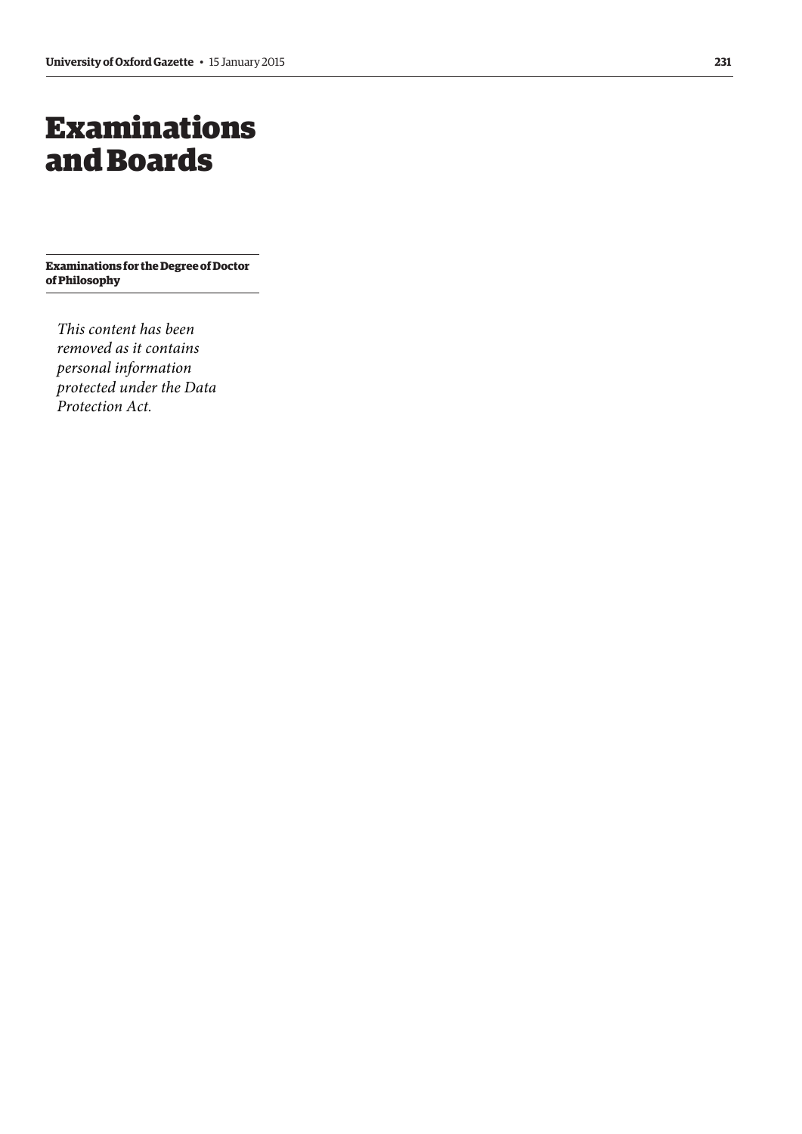# <span id="page-8-0"></span>Examinations and Boards

**Examinations for the Degree of Doctor of Philosophy**

*This content has been removed as it contains personal information protected under the Data Protection Act.*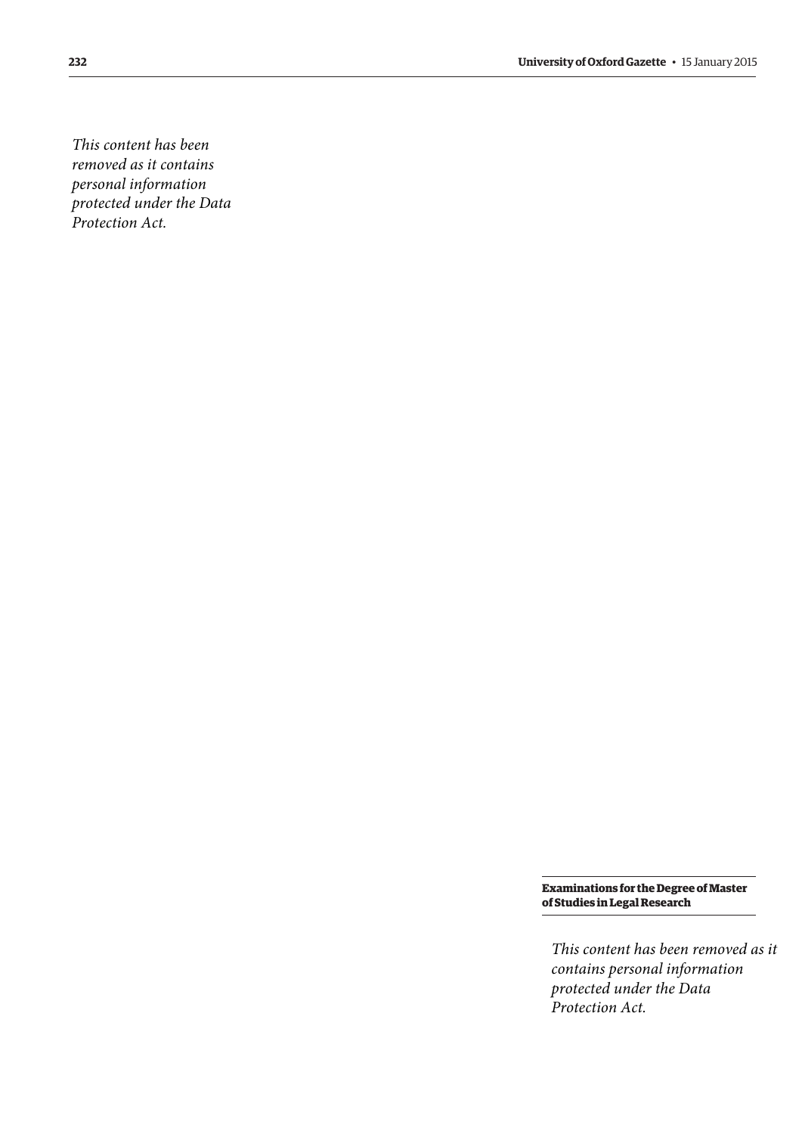*This content has been removed as it contains personal information protected under the Data Protection Act.*

> **Examinations for the Degree of Master of Studies in Legal Research**

*This content has been removed as it contains personal information protected under the Data Protection Act.*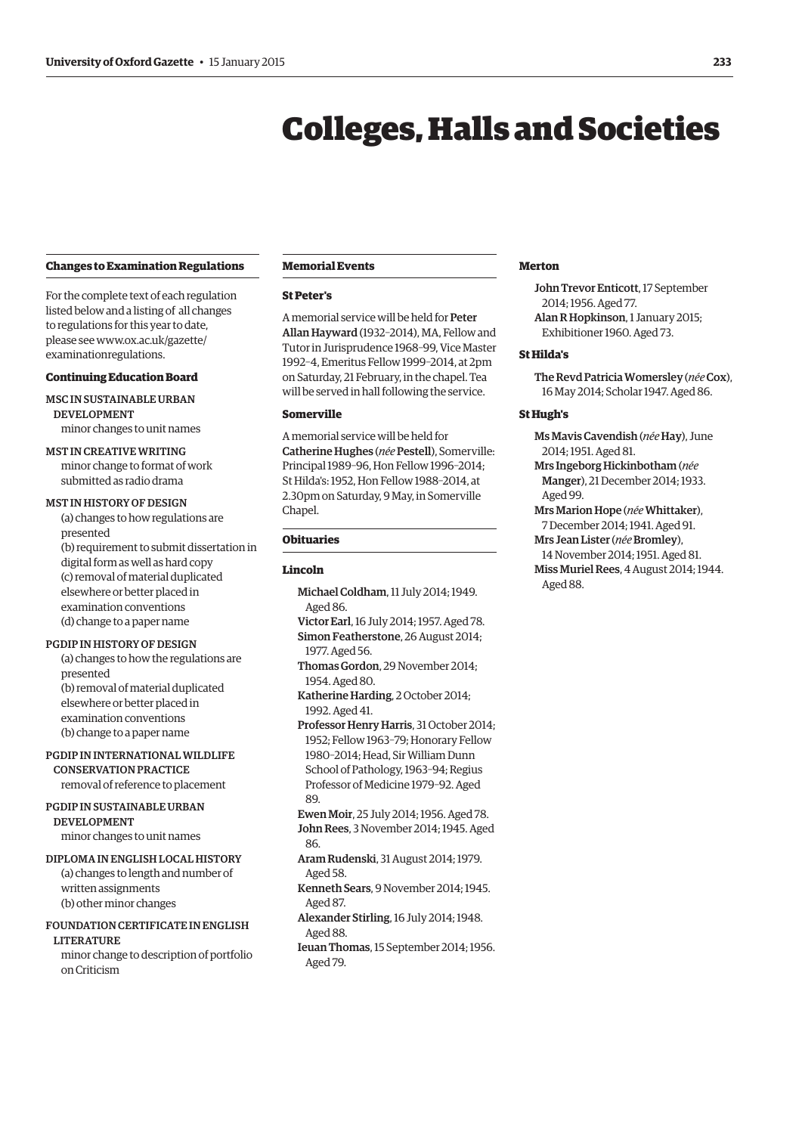# Colleges, Halls and Societies

#### <span id="page-10-0"></span>**Changes to Examination Regulations**

For the complete text of each regulation listed below and a listing of all changes to regulations for this year to date, [please see www.ox.ac.uk/gazette/](www.ox.ac.uk/gazette/examinationregulations) examinationregulations.

# **Continuing Education Board**

# MSc in Sustainable Urban **DEVELOPMENT**

minor changes to unit names

# MSt in Creative Writing

minor change to format of work submitted as radio drama

#### MST IN HISTORY OF DESIGN

(a) changes to how regulations are presented

(b) requirement to submit dissertation in digital form as well as hard copy (c) removal of material duplicated elsewhere or better placed in examination conventions (d) change to a paper name

#### PGDIP IN HISTORY OF DESIGN

(a) changes to how the regulations are presented (b) removal of material duplicated elsewhere or better placed in examination conventions (b) change to a paper name

PGDip in International Wildlife Conservation Practice removal of reference to placement

# PGDip in Sustainable Urban Development

minor changes to unit names

#### Diplomain English Local History

(a) changes to length and number of written assignments (b) other minor changes

# Foundation Certificate in English

**LITERATURE** 

minor change to description of portfolio on Criticism

#### **Memorial Events**

#### **St Peter's**

A memorial service will be held for Peter Allan Hayward (1932–2014), MA, Fellow and Tutor in Jurisprudence 1968–99, Vice Master 1992–4, Emeritus Fellow 1999–2014, at 2pm on Saturday, 21 February, in the chapel. Tea will be served in hall following the service.

#### **Somerville**

A memorial service will be held for Catherine Hughes (*née* Pestell), Somerville: Principal 1989–96, Hon Fellow 1996–2014; St Hilda's: 1952, Hon Fellow 1988–2014, at 2.30pm on Saturday, 9 May, in Somerville Chapel.

# **Obituaries**

#### **Lincoln**

- Michael Coldham, 11 July 2014; 1949. Aged 86.
- Victor Earl, 16 July 2014; 1957. Aged 78. Simon Featherstone, 26 August 2014; 1977. Aged 56.
- Thomas Gordon, 29 November 2014; 1954. Aged 80.
- Katherine Harding, 2 October 2014; 1992. Aged 41.

Professor Henry Harris, 31 October 2014; 1952; Fellow 1963–79; Honorary Fellow 1980–2014; Head, Sir William Dunn School of Pathology, 1963–94; Regius Professor of Medicine 1979–92. Aged 89.

- Ewen Moir, 25 July 2014; 1956. Aged 78. John Rees, 3 November 2014; 1945. Aged 86.
- Aram Rudenski, 31 August 2014; 1979. Aged 58.
- Kenneth Sears, 9 November 2014; 1945. Aged 87.
- Alexander Stirling, 16 July 2014; 1948. Aged 88.
- Ieuan Thomas, 15 September 2014; 1956. Aged 79.

# **Merton**

John Trevor Enticott, 17 September 2014; 1956. Aged 77. Alan R Hopkinson, 1 January 2015; Exhibitioner 1960. Aged 73.

#### **St Hilda's**

The Revd Patricia Womersley (*née* Cox), 16 May 2014; Scholar 1947. Aged 86.

## **St Hugh's**

Ms Mavis Cavendish (*née* Hay), June 2014; 1951. Aged 81.

Mrs Ingeborg Hickinbotham (*née*  Manger), 21 December 2014; 1933. Aged 99.

- Mrs Marion Hope (*née*Whittaker), 7 December 2014; 1941. Aged 91.
- Mrs Jean Lister (*née* Bromley), 14 November 2014; 1951. Aged 81. Miss Muriel Rees, 4 August 2014; 1944. Aged 88.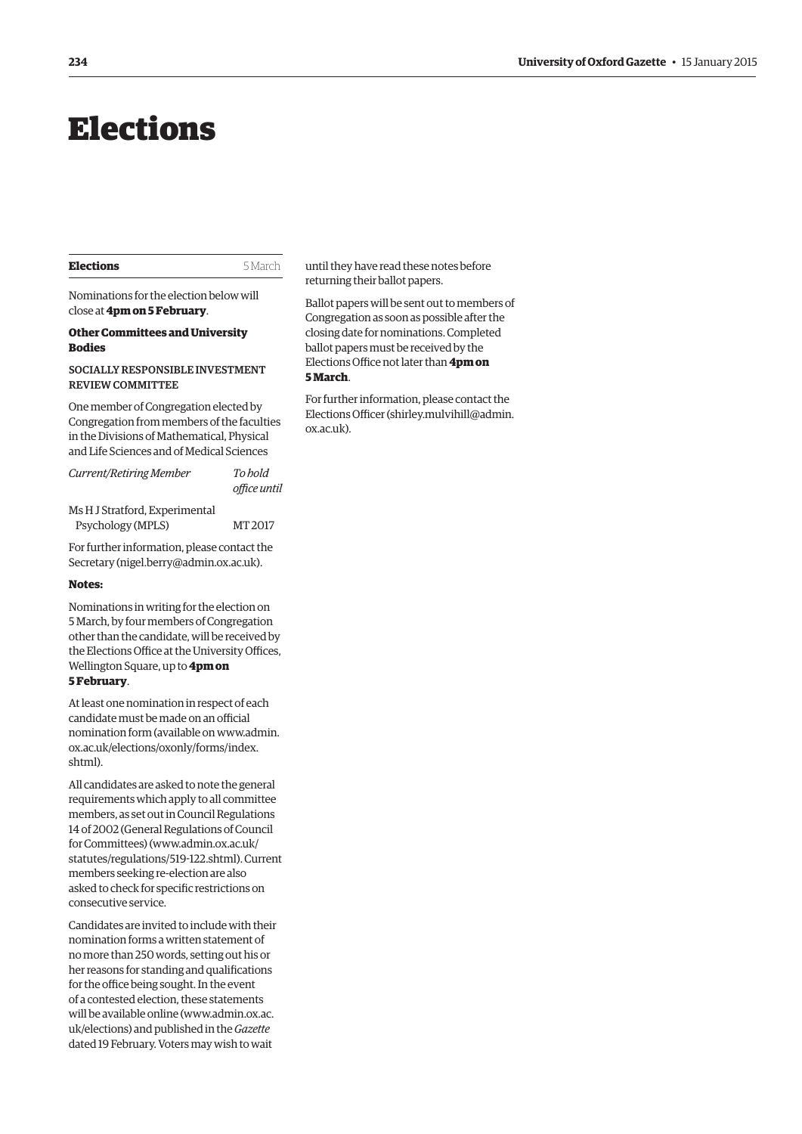# <span id="page-11-0"></span>Elections

#### **Elections** 5 March

Nominations for the election below will close at **4pm on 5 February**.

#### **Other Committees and University Bodies**

#### Socially Responsible Investment Review Committee

One member of Congregation elected by Congregation from members of the faculties in the Divisions of Mathematical, Physical and Life Sciences and of Medical Sciences

*Current/Retiring Member To hold office until*

Ms H J Stratford, Experimental Psychology (MPLS) MT 2017

For further information, please contact the Secretary (nigel.berry@admin.ox.ac.uk).

#### **Notes:**

Nominations in writing for the election on 5 March, by four members of Congregation other than the candidate, will be received by the Elections Office at the University Offices, Wellington Square, up to **4pm on 5 February**.

At least one nomination in respect of each candidate must be made on an official [nomination form \(available on www.admin.](www.admin.ox.ac.uk/elections/oxonly/forms/index.shtml) ox.ac.uk/elections/oxonly/forms/index. shtml).

All candidates are asked to note the general requirements which apply to all committee members, as set out in Council Regulations 14 of 2002 (General Regulations of Council for Committees) (www.admin.ox.ac.uk/ [statutes/regulations/519-122.shtml\). Current](www.admin.ox.ac.uk/statutes/regulations/519-122.shtml)  members seeking re-election are also asked to check for specific restrictions on consecutive service.

Candidates are invited to include with their nomination forms a written statement of no more than 250 words, setting out his or her reasons for standing and qualifications for the office being sought. In the event of a contested election, these statements [will be available online \(www.admin.ox.ac.](www.admin.ox.ac.uk/elections) uk/elections) and published in the *Gazette* dated 19 February. Voters may wish to wait

until they have read these notes before returning their ballot papers.

Ballot papers will be sent out to members of Congregation as soon as possible after the closing date for nominations. Completed ballot papers must be received by the Elections Office not later than **4pm on 5 March**.

For further information, please contact the [Elections Officer \(shirley.mulvihill@admin.](mailto:shirley.mulvihill@admin.ox.ac.uk) ox.ac.uk).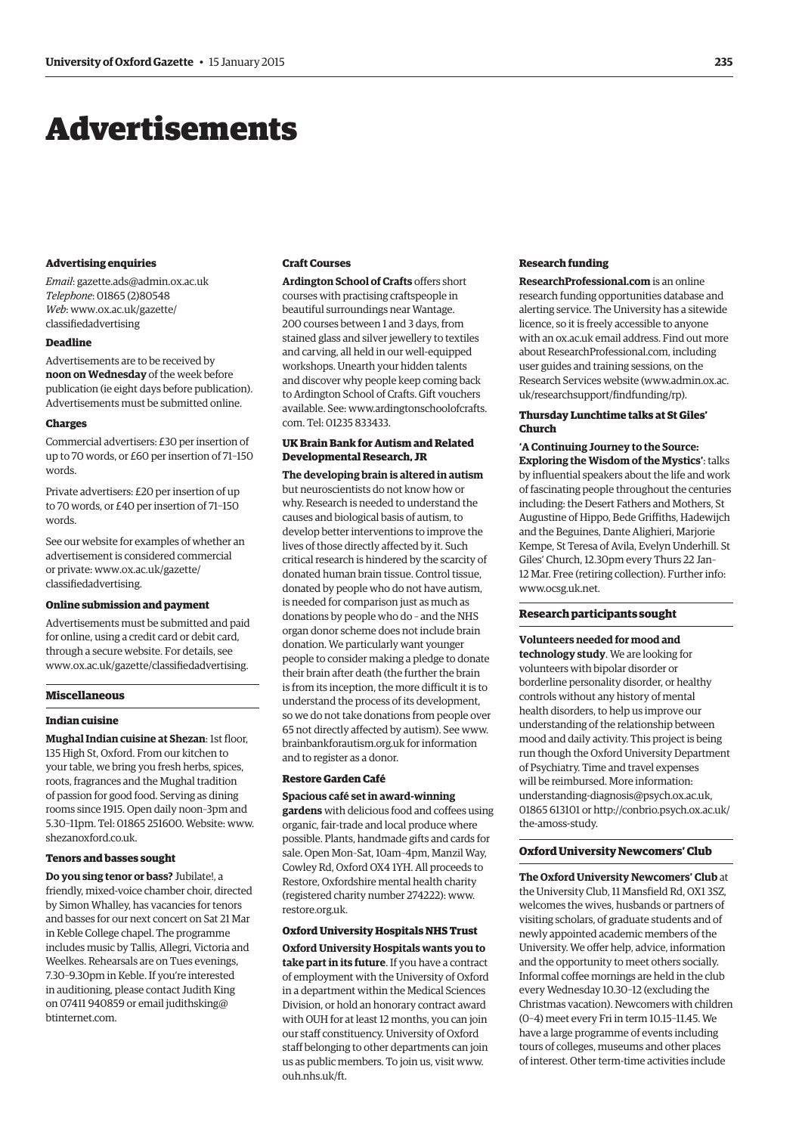# <span id="page-12-0"></span>Advertisements

#### **Advertising enquiries**

*Email*: gazette.ads@admin.ox.ac.uk *Telephone*: 01865 (2)80548 *Web*[: www.ox.ac.uk/gazette/](www.ox.ac.uk/gazette/classifiedadvertising) classifiedadvertising

#### **Deadline**

Advertisements are to be received by **noon on Wednesday** of the week before publication (ie eight days before publication). Advertisements must be submitted online.

#### **Charges**

Commercial advertisers: £30 per insertion of up to 70 words, or £60 per insertion of 71–150 words.

Private advertisers: £20 per insertion of up to 70 words, or £40 per insertion of 71–150 words.

See our website for examples of whether an advertisement is considered commercial [or private: www.ox.ac.uk/gazette/](www.ox.ac.uk/gazette/classifiedadvertising) classifiedadvertising.

#### **Online submission and payment**

Advertisements must be submitted and paid for online, using a credit card or debit card, through a secure website. For details, see www.ox.ac.uk/gazette/classifiedadvertising.

#### **Miscellaneous**

#### **Indian cuisine**

**Mughal Indian cuisine at Shezan**: 1st floor, 135 High St, Oxford. From our kitchen to your table, we bring you fresh herbs, spices, roots, fragrances and the Mughal tradition of passion for good food. Serving as dining rooms since 1915. Open daily noon–3pm and [5.30–11pm. Tel: 01865 251600. Website: www.](www.shezanoxford.co.uk) shezanoxford.co.uk.

#### **Tenors and basses sought**

**Do you sing tenor or bass?** Jubilate!, a friendly, mixed-voice chamber choir, directed by Simon Whalley, has vacancies for tenors and basses for our next concert on Sat 21 Mar in Keble College chapel. The programme includes music by Tallis, Allegri, Victoria and Weelkes. Rehearsals are on Tues evenings, 7.30–9.30pm in Keble. If you're interested in auditioning, please contact Judith King [on 07411 940859 or email judithsking@](mailto:judithsking@btinternet.com) btinternet.com.

#### **Craft Courses**

**Ardington School of Crafts** offers short courses with practising craftspeople in beautiful surroundings near Wantage. 200 courses between 1 and 3 days, from stained glass and silver jewellery to textiles and carving, all held in our well-equipped workshops. Unearth your hidden talents and discover why people keep coming back to Ardington School of Crafts. Gift vouchers [available. See: www.ardingtonschoolofcrafts.](www.ardingtonschoolofcrafts.com) com. Tel: 01235 833433.

#### **UK Brain Bank for Autism and Related Developmental Research, JR**

**The developing brain is altered in autism** but neuroscientists do not know how or why. Research is needed to understand the causes and biological basis of autism, to develop better interventions to improve the lives of those directly affected by it. Such critical research is hindered by the scarcity of donated human brain tissue. Control tissue, donated by people who do not have autism, is needed for comparison just as much as donations by people who do – and the NHS organ donor scheme does not include brain donation. We particularly want younger people to consider making a pledge to donate their brain after death (the further the brain is from its inception, the more difficult it is to understand the process of its development, so we do not take donations from people over [65 not directly affected by autism\). See www.](www.brainbankforautism.org.uk) brainbankforautism.org.uk for information and to register as a donor.

#### **Restore Garden Café**

#### **Spacious café set in award-winning**

**gardens** with delicious food and coffees using organic, fair-trade and local produce where possible. Plants, handmade gifts and cards for sale. Open Mon–Sat, 10am–4pm, Manzil Way, Cowley Rd, Oxford OX4 1YH. All proceeds to Restore, Oxfordshire mental health charity [\(registered charity number 274222\): www.](www.restore.org.uk) restore.org.uk.

#### **Oxford University Hospitals NHS Trust**

**Oxford University Hospitals wants you to take part in its future**. If you have a contract of employment with the University of Oxford in a department within the Medical Sciences Division, or hold an honorary contract award with OUH for at least 12 months, you can join our staff constituency. University of Oxford staff belonging to other departments can join [us as public members. To join us, visit www.](www.ouh.nhs.uk/ft) ouh.nhs.uk/ft.

#### **Research funding**

**[ResearchProfessional.com](http://www.ResearchProfessional.com)** is an online research funding opportunities database and alerting service. The University has a sitewide licence, so it is freely accessible to anyone with an ox.ac.uk email address. Find out more abo[ut ResearchProfessional.com, inc](http://www.ResearchProfessional.com)luding user guides and training sessions, on the [Research Services website \(www.admin.ox.ac.](www.admin.ox.ac.uk/researchsupport/findfunding/rp) uk/researchsupport/findfunding/rp).

#### **Thursday Lunchtime talks at St Giles' Church**

**'A Continuing Journey to the Source: Exploring the Wisdom of the Mystics'**: talks by influential speakers about the life and work of fascinating people throughout the centuries including: the Desert Fathers and Mothers, St Augustine of Hippo, Bede Griffiths, Hadewijch and the Beguines, Dante Alighieri, Marjorie Kempe, St Teresa of Avila, Evelyn Underhill. St Giles' Church, 12.30pm every Thurs 22 Jan– 12 Mar. Free (retiring collection). Further info: www.ocsg.uk.net.

#### **Research participants sought**

#### **Volunteers needed for mood and**

**technology study**. We are looking for volunteers with bipolar disorder or borderline personality disorder, or healthy controls without any history of mental health disorders, to help us improve our understanding of the relationship between mood and daily activity. This project is being run though the Oxford University Department of Psychiatry. Time and travel expenses will be reimbursed. More information: understanding-diagnosis@psych.ox.ac.uk, [01865 613101 or http://conbrio.psych.ox.ac.uk/](http://conbrio.psych.ox.ac.uk/the-amoss-study) the-amoss-study.

#### **Oxford University Newcomers' Club**

**The Oxford University Newcomers' Club** at the University Club, 11 Mansfield Rd, OX1 3SZ, welcomes the wives, husbands or partners of visiting scholars, of graduate students and of newly appointed academic members of the University. We offer help, advice, information and the opportunity to meet others socially. Informal coffee mornings are held in the club every Wednesday 10.30–12 (excluding the Christmas vacation). Newcomers with children (0–4) meet every Fri in term 10.15–11.45. We have a large programme of events including tours of colleges, museums and other places of interest. Other term-time activities include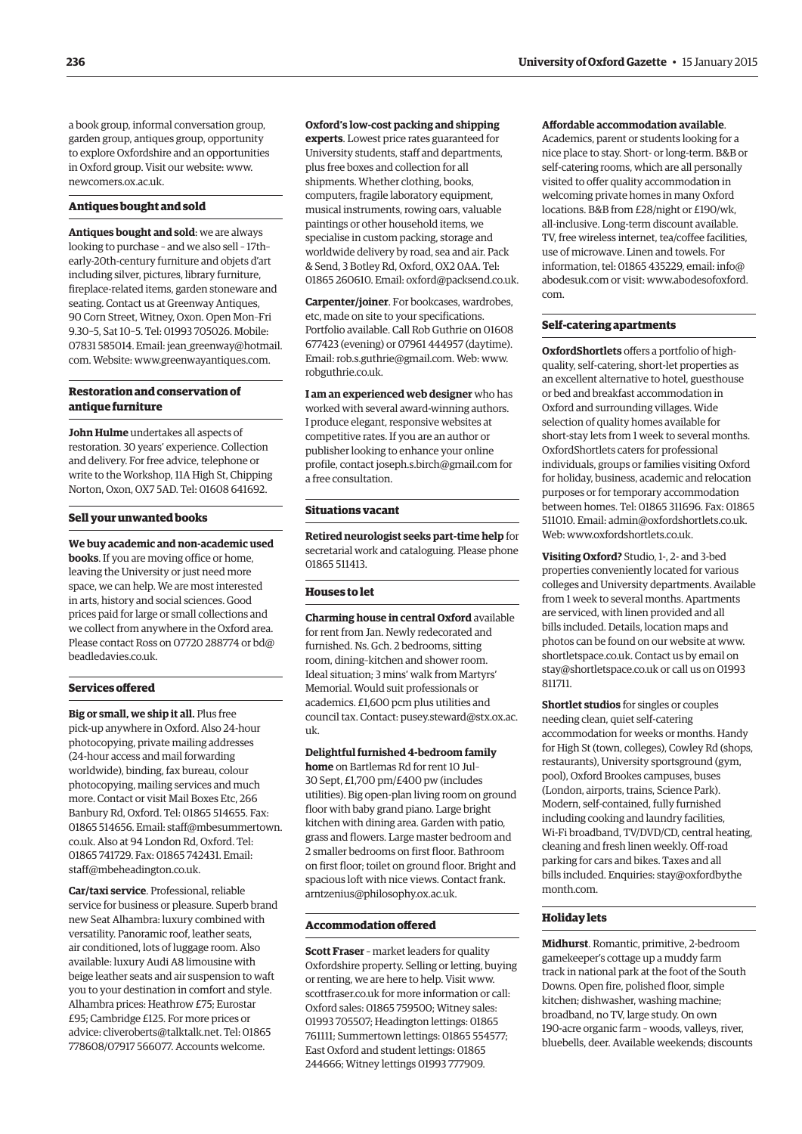a book group, informal conversation group, garden group, antiques group, opportunity to explore Oxfordshire and an opportunities [in Oxford group. Visit our website: www.](www.newcomers.ox.ac.uk) newcomers.ox.ac.uk.

#### **Antiques bought and sold**

**Antiques bought and sold**: we are always looking to purchase – and we also sell – 17th– early-20th-century furniture and objets d'art including silver, pictures, library furniture, fireplace-related items, garden stoneware and seating. Contact us at Greenway Antiques, 90 Corn Street, Witney, Oxon. Open Mon–Fri 9.30–5, Sat 10–5. Tel: 01993 705026. Mobile: 07831 585014. [Email: jean\\_greenway@hotmail.](mailto:jean_greenway@hotmail.com) com. Website: www.greenwayantiques.com.

#### **Restoration and conservation of antique furniture**

**John Hulme** undertakes all aspects of restoration. 30 years' experience. Collection and delivery. For free advice, telephone or write to the Workshop, 11A High St, Chipping Norton, Oxon, OX7 5AD. Tel: 01608 641692.

#### **Sell your unwanted books**

**We buy academic and non-academic used books**. If you are moving office or home, leaving the University or just need more space, we can help. We are most interested in arts, history and social sciences. Good prices paid for large or small collections and we collect from anywhere in the Oxford area. [Please contact Ross on 07720 288774 or bd@](mailto:bd@beadledavies.co.uk) beadledavies.co.uk.

#### **Services offered**

**Big or small, we ship it all.** Plus free pick-up anywhere in Oxford. Also 24-hour photocopying, private mailing addresses (24-hour access and mail forwarding worldwide), binding, fax bureau, colour photocopying, mailing services and much more. Contact or visit Mail Boxes Etc, 266 Banbury Rd, Oxford. Tel: 01865 514655. Fax: [01865 514656. Email: staff@mbesummertown.](mailto:staff@mbesummertown.co.uk) co.uk. Also at 94 London Rd, Oxford. Tel: 01865 741729. Fax: 01865 742431. Email: staff@mbeheadington.co.uk.

**Car/taxi service**. Professional, reliable service for business or pleasure. Superb brand new Seat Alhambra: luxury combined with versatility. Panoramic roof, leather seats, air conditioned, lots of luggage room. Also available: luxury Audi A8 limousine with beige leather seats and air suspension to waft you to your destination in comfort and style. Alhambra prices: Heathrow £75; Eurostar £95; Cambridge £125. For more prices or advice: cliveroberts@talktalk.net. Tel: 01865 778608/07917 566077. Accounts welcome.

**Oxford's low-cost packing and shipping** 

**experts**. Lowest price rates guaranteed for University students, staff and departments, plus free boxes and collection for all shipments. Whether clothing, books, computers, fragile laboratory equipment, musical instruments, rowing oars, valuable paintings or other household items, we specialise in custom packing, storage and worldwide delivery by road, sea and air. Pack & Send, 3 Botley Rd, Oxford, OX2 0AA. Tel: 01865 260610. Email: oxford@packsend.co.uk.

**Carpenter/joiner**. For bookcases, wardrobes, etc, made on site to your specifications. Portfolio available. Call Rob Guthrie on 01608 677423 (evening) or 07961 444957 (daytime). Email: rob.s.guthrie@gmail.com. Web: www. [robguthrie.co.uk.](www.robguthrie.co.uk)

**I am an experienced web designer** who has worked with several award-winning authors. I produce elegant, responsive websites at competitive rates. If you are an author or publisher looking to enhance your online profile, contact joseph.s.birch@gmail.com for a free consultation.

#### **Situations vacant**

**Retired neurologist seeks part-time help** for secretarial work and cataloguing. Please phone 01865 511413.

#### **Houses to let**

**Charming house in central Oxford** available for rent from Jan. Newly redecorated and furnished. Ns. Gch. 2 bedrooms, sitting room, dining–kitchen and shower room. Ideal situation; 3 mins' walk from Martyrs' Memorial. Would suit professionals or academics. £1,600 pcm plus utilities and [council tax. Contact: pusey.steward@stx.ox.ac.](mailto:pusey.steward@stx.ox.ac.uk) uk.

**Delightful furnished 4-bedroom family home** on Bartlemas Rd for rent 10 Jul– 30 Sept, £1,700 pm/£400 pw (includes utilities). Big open-plan living room on ground floor with baby grand piano. Large bright kitchen with dining area. Garden with patio, grass and flowers. Large master bedroom and 2 smaller bedrooms on first floor. Bathroom on first floor; toilet on ground floor. Bright and [spacious loft with nice views. Contact frank.](mailto:frank.arntzenius@philosophy.ox.ac.uk) arntzenius@philosophy.ox.ac.uk.

#### **Accommodation offered**

**Scott Fraser** – market leaders for quality Oxfordshire property. Selling or letting, buying or renting, we are here to help. Visit www. [scottfraser.co.uk for more information or call:](www.scottfraser.co.uk)  Oxford sales: 01865 759500; Witney sales: 01993 705507; Headington lettings: 01865 761111; Summertown lettings: 01865 554577; East Oxford and student lettings: 01865 244666; Witney lettings 01993 777909.

#### **Affordable accommodation available**.

Academics, parent or students looking for a nice place to stay. Short- or long-term. B&B or self-catering rooms, which are all personally visited to offer quality accommodation in welcoming private homes in many Oxford locations. B&B from £28/night or £190/wk, all-inclusive. Long-term discount available. TV, free wireless internet, tea/coffee facilities, use of microwave. Linen and towels. For information, tel: 01865 435229, email: info@ [abodesuk.com](mailto:info@abodesuk.com) or v[isit: www.abodesofoxford.](www.abodesofoxford.com) com.

#### **Self-catering apartments**

**OxfordShortlets** offers a portfolio of highquality, self-catering, short-let properties as an excellent alternative to hotel, guesthouse or bed and breakfast accommodation in Oxford and surrounding villages. Wide selection of quality homes available for short-stay lets from 1 week to several months. OxfordShortlets caters for professional individuals, groups or families visiting Oxford for holiday, business, academic and relocation purposes or for temporary accommodation between homes. Tel: 01865 311696. Fax: 01865 511010. Email: admin@oxfordshortlets.co.uk. Web: www.oxfordshortlets.co.uk.

**Visiting Oxford?** Studio, 1-, 2- and 3-bed properties conveniently located for various colleges and University departments. Available from 1 week to several months. Apartments are serviced, with linen provided and all bills included. Details, location maps and [photos can be found on our website at www.](www.shortletspace.co.uk) shortletspace.co.uk. Contact us by email on stay@shortletspace.co.uk or call us on 01993 811711.

**Shortlet studios** for singles or couples needing clean, quiet self-catering accommodation for weeks or months. Handy for High St (town, colleges), Cowley Rd (shops, restaurants), University sportsground (gym, pool), Oxford Brookes campuses, buses (London, airports, trains, Science Park). Modern, self-contained, fully furnished including cooking and laundry facilities, Wi-Fi broadband, TV/DVD/CD, central heating, cleaning and fresh linen weekly. Off-road parking for cars and bikes. Taxes and all [bills included. Enquiries: stay@oxfordbythe](mailto:stay@oxfordbythemonth.com)  month.com.

#### **Holiday lets**

**Midhurst**. Romantic, primitive, 2-bedroom gamekeeper's cottage up a muddy farm track in national park at the foot of the South Downs. Open fire, polished floor, simple kitchen; dishwasher, washing machine; broadband, no TV, large study. On own 190-acre organic farm – woods, valleys, river, bluebells, deer. Available weekends; discounts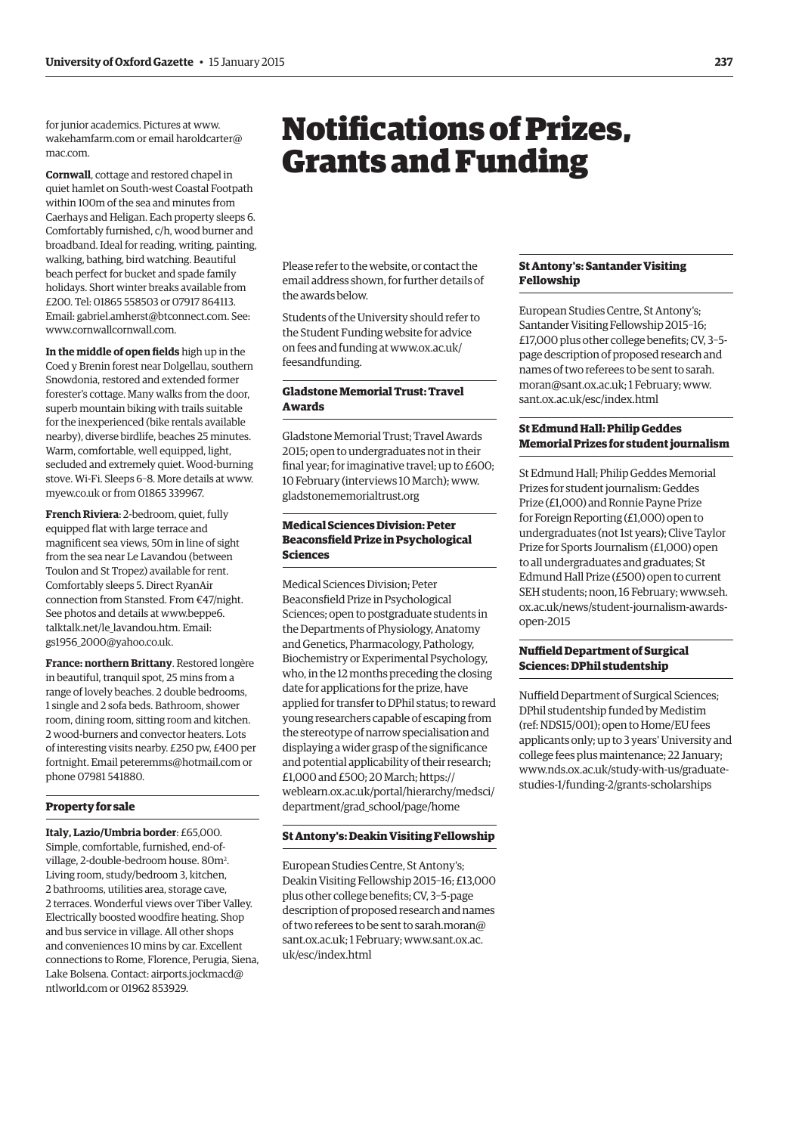<span id="page-14-0"></span>for junior academics. Pictures at www. [wakehamfarm.com o](www.wakehamfarm.com)r e[mail haroldcarter@](mailto:haroldcarter@mac.com) mac.com.

**Cornwall**, cottage and restored chapel in quiet hamlet on South-west Coastal Footpath within 100m of the sea and minutes from Caerhays and Heligan. Each property sleeps 6. Comfortably furnished, c/h, wood burner and broadband. Ideal for reading, writing, painting, walking, bathing, bird watching. Beautiful beach perfect for bucket and spade family holidays. Short winter breaks available from £200. Tel: 01865 558503 or 07917 864113. Email: gabriel.amherst@btconnect.com. See: www.cornwallcornwall.com.

**In the middle of open fields** high up in the Coed y Brenin forest near Dolgellau, southern Snowdonia, restored and extended former forester's cottage. Many walks from the door, superb mountain biking with trails suitable for the inexperienced (bike rentals available nearby), diverse birdlife, beaches 25 minutes. Warm, comfortable, well equipped, light, secluded and extremely quiet. Wood-burning [stove. Wi-Fi. Sleeps 6–8. More details at www.](www.myew.co.uk) myew.co.uk or from 01865 339967.

**French Riviera**: 2-bedroom, quiet, fully equipped flat with large terrace and magnificent sea views, 50m in line of sight from the sea near Le Lavandou (between Toulon and St Tropez) available for rent. Comfortably sleeps 5. Direct RyanAir connection from Stansted. From €47/night. See photos and details at www.beppe6. [talktalk.net/le\\_lavandou.htm.](www.beppe6.talktalk.net/le-lavandou.htm) Email: gs1956\_2000@yahoo.co.uk.

**France: northern Brittany**. Restored longère in beautiful, tranquil spot, 25 mins from a range of lovely beaches. 2 double bedrooms, 1 single and 2 sofa beds. Bathroom, shower room, dining room, sitting room and kitchen. 2 wood-burners and convector heaters. Lots of interesting visits nearby. £250 pw, £400 per fortnight. Email peteremms@hotmail.com or phone 07981 541880.

#### **Property for sale**

**Italy, Lazio/Umbria border**: £65,000. Simple, comfortable, furnished, end-ofvillage, 2-double-bedroom house. 80m<sup>2</sup>. Living room, study/bedroom 3, kitchen, 2 bathrooms, utilities area, storage cave, 2 terraces. Wonderful views over Tiber Valley. Electrically boosted woodfire heating. Shop and bus service in village. All other shops and conveniences 10 mins by car. Excellent connections to Rome, Florence, Perugia, Siena, [Lake Bolsena. Contact: airports.jockmacd@](mailto:airports.jockmacd@ntlworld.com) ntlworld.com or 01962 853929.

# Notifications of Prizes, Grants and Funding

Please refer to the website, or contact the email address shown, for further details of the awards below.

Students of the University should refer to the Student Funding website for advice [on fees and funding at www.ox.ac.uk/](www.ox.ac.uk/feesandfunding) feesandfunding.

# **Gladstone Memorial Trust: Travel Awards**

Gladstone Memorial Trust; Travel Awards 2015; open to undergraduates not in their final year; for imaginative travel; up to £600; [10 February \(interviews 10 March\); www.](www.gladstonememorialtrust.org) gladstonememorialtrust.org

# **Medical Sciences Division: Peter Beaconsfield Prize in Psychological Sciences**

Medical Sciences Division; Peter Beaconsfield Prize in Psychological Sciences; open to postgraduate students in the Departments of Physiology, Anatomy and Genetics, Pharmacology, Pathology, Biochemistry or Experimental Psychology, who, in the 12 months preceding the closing date for applications for the prize, have applied for transfer to DPhil status; to reward young researchers capable of escaping from the stereotype of narrow specialisation and displaying a wider grasp of the significance and potential applicability of their research; £1,000 and £500; 20 March; https:// [weblearn.ox.ac.uk/portal/hierarchy/medsci/](https://weblearn.ox.ac.uk/portal/hierarchy/medsci/department/grad_school/page/home) department/grad\_school/page/home

#### **St Antony's: Deakin Visiting Fellowship**

European Studies Centre, St Antony's; Deakin Visiting Fellowship 2015–16; £13,000 plus other college benefits; CV, 3–5-page description of proposed research and names of two referees to [be sent to sarah.moran@](mailto:sarah.moran@sant.ox.ac.uk) sant.ox.ac.uk; 1 February; www.sant.ox.ac. [uk/esc/index.html](www.sant.ox.ac.uk/esc/index.html)

#### **St Antony's: Santander Visiting Fellowship**

European Studies Centre, St Antony's; Santander Visiting Fellowship 2015–16; £17,000 plus other college benefits; CV, 3–5 page description of proposed research and names of two referees to be sent to sarah. [moran@sant.ox.ac.uk;](mailto:sarah.moran@sant.ox.ac.uk) 1 February; www. [sant.ox.ac.uk/esc/index.html](www.sant.ox.ac.uk/esc/index.html)

#### **St Edmund Hall: Philip Geddes Memorial Prizes for student journalism**

St Edmund Hall; Philip Geddes Memorial Prizes for student journalism: Geddes Prize (£1,000) and Ronnie Payne Prize for Foreign Reporting (£1,000) open to undergraduates (not 1st years); Clive Taylor Prize for Sports Journalism (£1,000) open to all undergraduates and graduates; St Edmund Hall Prize (£500) open to current [SEH students; noon, 16 February; www.seh.](www.seh.ox.ac.uk/news/student-journalism-awards-open-2015) ox.ac.uk/news/student-journalism-awardsopen-2015

#### **Nuffield Department of Surgical Sciences: DPhil studentship**

Nuffield Department of Surgical Sciences; DPhil studentship funded by Medistim (ref: NDS15/001); open to Home/EU fees applicants only; up to 3 years' University and college fees plus maintenance; 22 January; [www.nds.ox.ac.uk/study-with-us/graduate](www.nds.ox.ac.uk/study-with-us/graduate-studies-1/funding-2/grants-scholarships)studies-1/funding-2/grants-scholarships